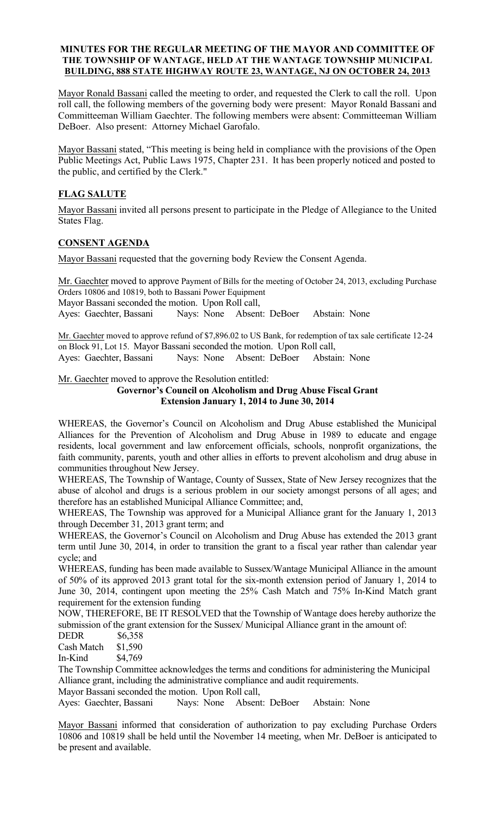#### MINUTES FOR THE REGULAR MEETING OF THE MAYOR AND COMMITTEE OF THE TOWNSHIP OF WANTAGE, HELD AT THE WANTAGE TOWNSHIP MUNICIPAL BUILDING, 888 STATE HIGHWAY ROUTE 23, WANTAGE, NJ ON OCTOBER 24, 2013

Mayor Ronald Bassani called the meeting to order, and requested the Clerk to call the roll. Upon roll call, the following members of the governing body were present: Mayor Ronald Bassani and Committeeman William Gaechter. The following members were absent: Committeeman William DeBoer. Also present: Attorney Michael Garofalo.

Mayor Bassani stated, "This meeting is being held in compliance with the provisions of the Open Public Meetings Act, Public Laws 1975, Chapter 231. It has been properly noticed and posted to the public, and certified by the Clerk."

# FLAG SALUTE

Mayor Bassani invited all persons present to participate in the Pledge of Allegiance to the United States Flag.

## CONSENT AGENDA

Mayor Bassani requested that the governing body Review the Consent Agenda.

Mr. Gaechter moved to approve Payment of Bills for the meeting of October 24, 2013, excluding Purchase Orders 10806 and 10819, both to Bassani Power Equipment Mayor Bassani seconded the motion. Upon Roll call, Ayes: Gaechter, Bassani Nays: None Absent: DeBoer Abstain: None

Mr. Gaechter moved to approve refund of \$7,896.02 to US Bank, for redemption of tax sale certificate 12-24 on Block 91, Lot 15. Mayor Bassani seconded the motion. Upon Roll call, Ayes: Gaechter, Bassani Nays: None Absent: DeBoer Abstain: None

Mr. Gaechter moved to approve the Resolution entitled:

#### Governor's Council on Alcoholism and Drug Abuse Fiscal Grant Extension January 1, 2014 to June 30, 2014

WHEREAS, the Governor's Council on Alcoholism and Drug Abuse established the Municipal Alliances for the Prevention of Alcoholism and Drug Abuse in 1989 to educate and engage residents, local government and law enforcement officials, schools, nonprofit organizations, the faith community, parents, youth and other allies in efforts to prevent alcoholism and drug abuse in communities throughout New Jersey.

WHEREAS, The Township of Wantage, County of Sussex, State of New Jersey recognizes that the abuse of alcohol and drugs is a serious problem in our society amongst persons of all ages; and therefore has an established Municipal Alliance Committee; and,

WHEREAS, The Township was approved for a Municipal Alliance grant for the January 1, 2013 through December 31, 2013 grant term; and

WHEREAS, the Governor's Council on Alcoholism and Drug Abuse has extended the 2013 grant term until June 30, 2014, in order to transition the grant to a fiscal year rather than calendar year cycle; and

WHEREAS, funding has been made available to Sussex/Wantage Municipal Alliance in the amount of 50% of its approved 2013 grant total for the six-month extension period of January 1, 2014 to June 30, 2014, contingent upon meeting the 25% Cash Match and 75% In-Kind Match grant requirement for the extension funding

NOW, THEREFORE, BE IT RESOLVED that the Township of Wantage does hereby authorize the submission of the grant extension for the Sussex/ Municipal Alliance grant in the amount of:

DEDR \$6,358

Cash Match \$1,590

In-Kind \$4,769

The Township Committee acknowledges the terms and conditions for administering the Municipal Alliance grant, including the administrative compliance and audit requirements.

Mayor Bassani seconded the motion. Upon Roll call,

Ayes: Gaechter, Bassani Nays: None Absent: DeBoer Abstain: None

Mayor Bassani informed that consideration of authorization to pay excluding Purchase Orders 10806 and 10819 shall be held until the November 14 meeting, when Mr. DeBoer is anticipated to be present and available.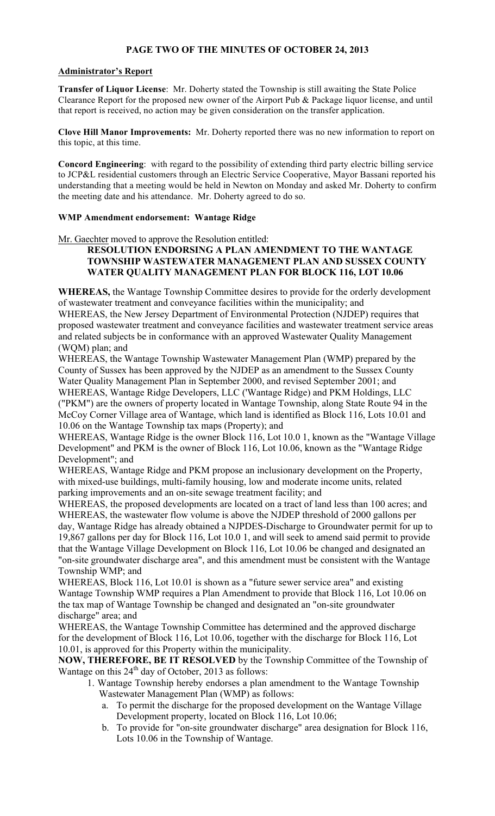# PAGE TWO OF THE MINUTES OF OCTOBER 24, 2013

## Administrator's Report

Transfer of Liquor License: Mr. Doherty stated the Township is still awaiting the State Police Clearance Report for the proposed new owner of the Airport Pub & Package liquor license, and until that report is received, no action may be given consideration on the transfer application.

Clove Hill Manor Improvements: Mr. Doherty reported there was no new information to report on this topic, at this time.

Concord Engineering: with regard to the possibility of extending third party electric billing service to JCP&L residential customers through an Electric Service Cooperative, Mayor Bassani reported his understanding that a meeting would be held in Newton on Monday and asked Mr. Doherty to confirm the meeting date and his attendance. Mr. Doherty agreed to do so.

## WMP Amendment endorsement: Wantage Ridge

Mr. Gaechter moved to approve the Resolution entitled:

# RESOLUTION ENDORSING A PLAN AMENDMENT TO THE WANTAGE TOWNSHIP WASTEWATER MANAGEMENT PLAN AND SUSSEX COUNTY WATER QUALITY MANAGEMENT PLAN FOR BLOCK 116, LOT 10.06

WHEREAS, the Wantage Township Committee desires to provide for the orderly development of wastewater treatment and conveyance facilities within the municipality; and

WHEREAS, the New Jersey Department of Environmental Protection (NJDEP) requires that proposed wastewater treatment and conveyance facilities and wastewater treatment service areas and related subjects be in conformance with an approved Wastewater Quality Management (WQM) plan; and

WHEREAS, the Wantage Township Wastewater Management Plan (WMP) prepared by the County of Sussex has been approved by the NJDEP as an amendment to the Sussex County Water Quality Management Plan in September 2000, and revised September 2001; and

WHEREAS, Wantage Ridge Developers, LLC ('Wantage Ridge) and PKM Holdings, LLC ("PKM") are the owners of property located in Wantage Township, along State Route 94 in the McCoy Corner Village area of Wantage, which land is identified as Block 116, Lots 10.01 and 10.06 on the Wantage Township tax maps (Property); and

WHEREAS, Wantage Ridge is the owner Block 116, Lot 10.0 1, known as the "Wantage Village Development" and PKM is the owner of Block 116, Lot 10.06, known as the "Wantage Ridge Development"; and

WHEREAS, Wantage Ridge and PKM propose an inclusionary development on the Property, with mixed-use buildings, multi-family housing, low and moderate income units, related parking improvements and an on-site sewage treatment facility; and

WHEREAS, the proposed developments are located on a tract of land less than 100 acres; and WHEREAS, the wastewater flow volume is above the NJDEP threshold of 2000 gallons per day, Wantage Ridge has already obtained a NJPDES-Discharge to Groundwater permit for up to 19,867 gallons per day for Block 116, Lot 10.0 1, and will seek to amend said permit to provide that the Wantage Village Development on Block 116, Lot 10.06 be changed and designated an "on-site groundwater discharge area", and this amendment must be consistent with the Wantage Township WMP; and

WHEREAS, Block 116, Lot 10.01 is shown as a "future sewer service area" and existing Wantage Township WMP requires a Plan Amendment to provide that Block 116, Lot 10.06 on the tax map of Wantage Township be changed and designated an "on-site groundwater discharge" area; and

WHEREAS, the Wantage Township Committee has determined and the approved discharge for the development of Block 116, Lot 10.06, together with the discharge for Block 116, Lot 10.01, is approved for this Property within the municipality.

NOW, THEREFORE, BE IT RESOLVED by the Township Committee of the Township of Wantage on this  $24<sup>th</sup>$  day of October, 2013 as follows:

- 1. Wantage Township hereby endorses a plan amendment to the Wantage Township Wastewater Management Plan (WMP) as follows:
	- a. To permit the discharge for the proposed development on the Wantage Village Development property, located on Block 116, Lot 10.06;
	- b. To provide for "on-site groundwater discharge" area designation for Block 116, Lots 10.06 in the Township of Wantage.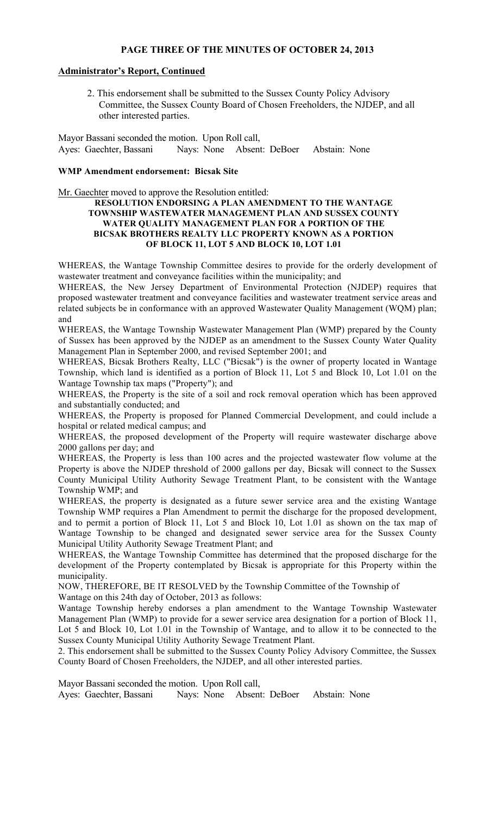## PAGE THREE OF THE MINUTES OF OCTOBER 24, 2013

## Administrator's Report, Continued

2. This endorsement shall be submitted to the Sussex County Policy Advisory Committee, the Sussex County Board of Chosen Freeholders, the NJDEP, and all other interested parties.

Mayor Bassani seconded the motion. Upon Roll call, Ayes: Gaechter, Bassani Nays: None Absent: DeBoer Abstain: None

#### WMP Amendment endorsement: Bicsak Site

Mr. Gaechter moved to approve the Resolution entitled:

#### RESOLUTION ENDORSING A PLAN AMENDMENT TO THE WANTAGE TOWNSHIP WASTEWATER MANAGEMENT PLAN AND SUSSEX COUNTY WATER QUALITY MANAGEMENT PLAN FOR A PORTION OF THE BICSAK BROTHERS REALTY LLC PROPERTY KNOWN AS A PORTION OF BLOCK 11, LOT 5 AND BLOCK 10, LOT 1.01

WHEREAS, the Wantage Township Committee desires to provide for the orderly development of wastewater treatment and conveyance facilities within the municipality; and

WHEREAS, the New Jersey Department of Environmental Protection (NJDEP) requires that proposed wastewater treatment and conveyance facilities and wastewater treatment service areas and related subjects be in conformance with an approved Wastewater Quality Management (WQM) plan; and

WHEREAS, the Wantage Township Wastewater Management Plan (WMP) prepared by the County of Sussex has been approved by the NJDEP as an amendment to the Sussex County Water Quality Management Plan in September 2000, and revised September 2001; and

WHEREAS, Bicsak Brothers Realty, LLC ("Bicsak") is the owner of property located in Wantage Township, which land is identified as a portion of Block 11, Lot 5 and Block 10, Lot 1.01 on the Wantage Township tax maps ("Property"); and

WHEREAS, the Property is the site of a soil and rock removal operation which has been approved and substantially conducted; and

WHEREAS, the Property is proposed for Planned Commercial Development, and could include a hospital or related medical campus; and

WHEREAS, the proposed development of the Property will require wastewater discharge above 2000 gallons per day; and

WHEREAS, the Property is less than 100 acres and the projected wastewater flow volume at the Property is above the NJDEP threshold of 2000 gallons per day, Bicsak will connect to the Sussex County Municipal Utility Authority Sewage Treatment Plant, to be consistent with the Wantage Township WMP; and

WHEREAS, the property is designated as a future sewer service area and the existing Wantage Township WMP requires a Plan Amendment to permit the discharge for the proposed development, and to permit a portion of Block 11, Lot 5 and Block 10, Lot 1.01 as shown on the tax map of Wantage Township to be changed and designated sewer service area for the Sussex County Municipal Utility Authority Sewage Treatment Plant; and

WHEREAS, the Wantage Township Committee has determined that the proposed discharge for the development of the Property contemplated by Bicsak is appropriate for this Property within the municipality.

NOW, THEREFORE, BE IT RESOLVED by the Township Committee of the Township of

Wantage on this 24th day of October, 2013 as follows:

Wantage Township hereby endorses a plan amendment to the Wantage Township Wastewater Management Plan (WMP) to provide for a sewer service area designation for a portion of Block 11, Lot 5 and Block 10, Lot 1.01 in the Township of Wantage, and to allow it to be connected to the Sussex County Municipal Utility Authority Sewage Treatment Plant.

2. This endorsement shall be submitted to the Sussex County Policy Advisory Committee, the Sussex County Board of Chosen Freeholders, the NJDEP, and all other interested parties.

Mayor Bassani seconded the motion. Upon Roll call, Ayes: Gaechter, Bassani Nays: None Absent: DeBoer Abstain: None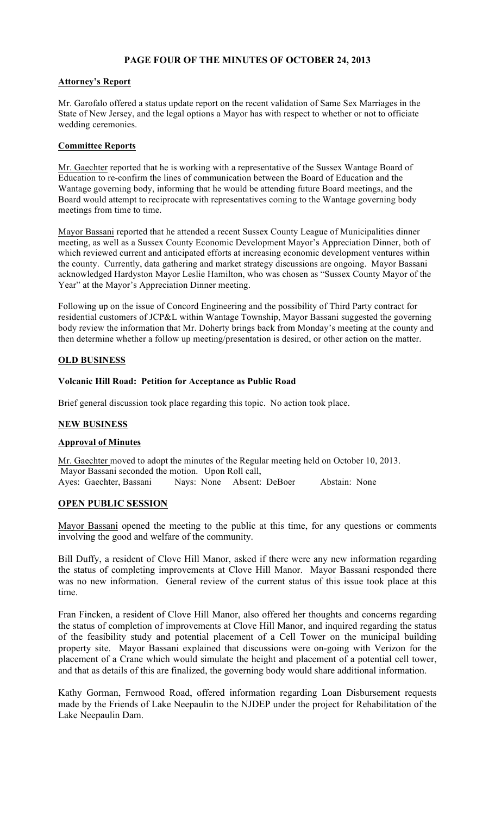## PAGE FOUR OF THE MINUTES OF OCTOBER 24, 2013

#### Attorney's Report

Mr. Garofalo offered a status update report on the recent validation of Same Sex Marriages in the State of New Jersey, and the legal options a Mayor has with respect to whether or not to officiate wedding ceremonies.

#### Committee Reports

Mr. Gaechter reported that he is working with a representative of the Sussex Wantage Board of Education to re-confirm the lines of communication between the Board of Education and the Wantage governing body, informing that he would be attending future Board meetings, and the Board would attempt to reciprocate with representatives coming to the Wantage governing body meetings from time to time.

Mayor Bassani reported that he attended a recent Sussex County League of Municipalities dinner meeting, as well as a Sussex County Economic Development Mayor's Appreciation Dinner, both of which reviewed current and anticipated efforts at increasing economic development ventures within the county. Currently, data gathering and market strategy discussions are ongoing. Mayor Bassani acknowledged Hardyston Mayor Leslie Hamilton, who was chosen as "Sussex County Mayor of the Year" at the Mayor's Appreciation Dinner meeting.

Following up on the issue of Concord Engineering and the possibility of Third Party contract for residential customers of JCP&L within Wantage Township, Mayor Bassani suggested the governing body review the information that Mr. Doherty brings back from Monday's meeting at the county and then determine whether a follow up meeting/presentation is desired, or other action on the matter.

## OLD BUSINESS

## Volcanic Hill Road: Petition for Acceptance as Public Road

Brief general discussion took place regarding this topic. No action took place.

## NEW BUSINESS

#### Approval of Minutes

Mr. Gaechter moved to adopt the minutes of the Regular meeting held on October 10, 2013. Mayor Bassani seconded the motion. Upon Roll call, Ayes: Gaechter, Bassani Nays: None Absent: DeBoer Abstain: None

## OPEN PUBLIC SESSION

Mayor Bassani opened the meeting to the public at this time, for any questions or comments involving the good and welfare of the community.

Bill Duffy, a resident of Clove Hill Manor, asked if there were any new information regarding the status of completing improvements at Clove Hill Manor. Mayor Bassani responded there was no new information. General review of the current status of this issue took place at this time.

Fran Fincken, a resident of Clove Hill Manor, also offered her thoughts and concerns regarding the status of completion of improvements at Clove Hill Manor, and inquired regarding the status of the feasibility study and potential placement of a Cell Tower on the municipal building property site. Mayor Bassani explained that discussions were on-going with Verizon for the placement of a Crane which would simulate the height and placement of a potential cell tower, and that as details of this are finalized, the governing body would share additional information.

Kathy Gorman, Fernwood Road, offered information regarding Loan Disbursement requests made by the Friends of Lake Neepaulin to the NJDEP under the project for Rehabilitation of the Lake Neepaulin Dam.